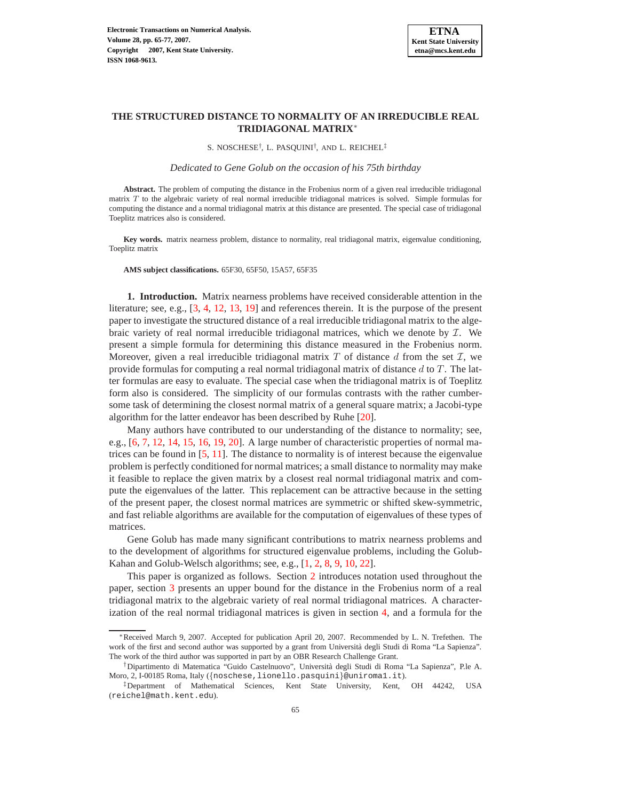

# **THE STRUCTURED DISTANCE TO NORMALITY OF AN IRREDUCIBLE REAL TRIDIAGONAL MATRIX**<sup>∗</sup>

S. NOSCHESE† , L. PASQUINI† , AND L. REICHEL‡

*Dedicated to Gene Golub on the occasion of his 75th birthday*

**Abstract.** The problem of computing the distance in the Frobenius norm of a given real irreducible tridiagonal matrix T to the algebraic variety of real normal irreducible tridiagonal matrices is solved. Simple formulas for computing the distance and a normal tridiagonal matrix at this distance are presented. The special case of tridiagonal Toeplitz matrices also is considered.

**Key words.** matrix nearness problem, distance to normality, real tridiagonal matrix, eigenvalue conditioning, Toeplitz matrix

**AMS subject classifications.** 65F30, 65F50, 15A57, 65F35

**1. Introduction.** Matrix nearness problems have received considerable attention in the literature; see, e.g., [\[3,](#page-12-0) [4,](#page-12-1) [12,](#page-12-2) [13,](#page-12-3) [19\]](#page-12-4) and references therein. It is the purpose of the present paper to investigate the structured distance of a real irreducible tridiagonal matrix to the algebraic variety of real normal irreducible tridiagonal matrices, which we denote by  $I$ . We present a simple formula for determining this distance measured in the Frobenius norm. Moreover, given a real irreducible tridiagonal matrix T of distance d from the set  $\mathcal{I}$ , we provide formulas for computing a real normal tridiagonal matrix of distance  $d$  to  $T$ . The latter formulas are easy to evaluate. The special case when the tridiagonal matrix is of Toeplitz form also is considered. The simplicity of our formulas contrasts with the rather cumbersome task of determining the closest normal matrix of a general square matrix; a Jacobi-type algorithm for the latter endeavor has been described by Ruhe [\[20\]](#page-12-5).

Many authors have contributed to our understanding of the distance to normality; see, e.g., [\[6,](#page-12-6) [7,](#page-12-7) [12,](#page-12-2) [14,](#page-12-8) [15,](#page-12-9) [16,](#page-12-10) [19,](#page-12-4) [20\]](#page-12-5). A large number of characteristic properties of normal matrices can be found in [\[5,](#page-12-11) [11\]](#page-12-12). The distance to normality is of interest because the eigenvalue problem is perfectly conditioned for normal matrices; a small distance to normality may make it feasible to replace the given matrix by a closest real normal tridiagonal matrix and compute the eigenvalues of the latter. This replacement can be attractive because in the setting of the present paper, the closest normal matrices are symmetric or shifted skew-symmetric, and fast reliable algorithms are available for the computation of eigenvalues of these types of matrices.

Gene Golub has made many significant contributions to matrix nearness problems and to the development of algorithms for structured eigenvalue problems, including the Golub-Kahan and Golub-Welsch algorithms; see, e.g., [\[1,](#page-12-13) [2,](#page-12-14) [8,](#page-12-15) [9,](#page-12-16) [10,](#page-12-17) [22\]](#page-12-18).

This paper is organized as follows. Section [2](#page-1-0) introduces notation used throughout the paper, section [3](#page-2-0) presents an upper bound for the distance in the Frobenius norm of a real tridiagonal matrix to the algebraic variety of real normal tridiagonal matrices. A characterization of the real normal tridiagonal matrices is given in section [4,](#page-3-0) and a formula for the

<sup>∗</sup>Received March 9, 2007. Accepted for publication April 20, 2007. Recommended by L. N. Trefethen. The work of the first and second author was supported by a grant from Università degli Studi di Roma "La Sapienza". The work of the third author was supported in part by an OBR Research Challenge Grant.

<sup>†</sup>Dipartimento di Matematica "Guido Castelnuovo", Universit`a degli Studi di Roma "La Sapienza", P.le A. Moro, 2, I-00185 Roma, Italy ({noschese, lionello.pasquini}@uniroma1.it).

<sup>‡</sup>Department of Mathematical Sciences, Kent State University, Kent, OH 44242, USA (reichel@math.kent.edu).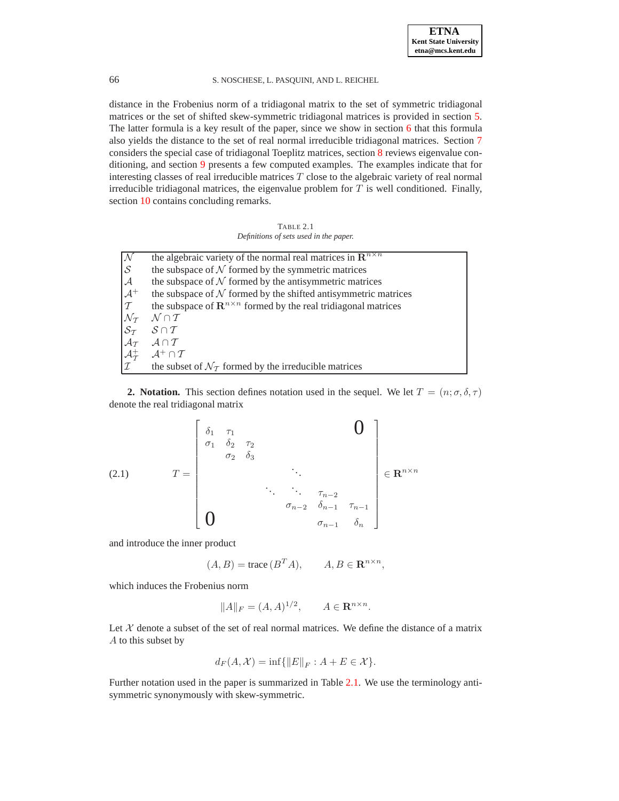### 66 S. NOSCHESE, L. PASQUINI, AND L. REICHEL

distance in the Frobenius norm of a tridiagonal matrix to the set of symmetric tridiagonal matrices or the set of shifted skew-symmetric tridiagonal matrices is provided in section [5.](#page-3-1) The latter formula is a key result of the paper, since we show in section [6](#page-4-0) that this formula also yields the distance to the set of real normal irreducible tridiagonal matrices. Section [7](#page-5-0) considers the special case of tridiagonal Toeplitz matrices, section [8](#page-6-0) reviews eigenvalue conditioning, and section [9](#page-6-1) presents a few computed examples. The examples indicate that for interesting classes of real irreducible matrices  $T$  close to the algebraic variety of real normal irreducible tridiagonal matrices, the eigenvalue problem for  $T$  is well conditioned. Finally, section [10](#page-10-0) contains concluding remarks.

TABLE 2.1 *Definitions of sets used in the paper.*

<span id="page-1-1"></span><span id="page-1-0"></span>

| $\frac{\mathcal{N}}{\mathcal{S}}$ | the algebraic variety of the normal real matrices in $\mathbb{R}^{n \times n}$                                                                                                                                    |
|-----------------------------------|-------------------------------------------------------------------------------------------------------------------------------------------------------------------------------------------------------------------|
|                                   | the subspace of $N$ formed by the symmetric matrices                                                                                                                                                              |
| $\mathcal{A}$                     | the subspace of $N$ formed by the antisymmetric matrices                                                                                                                                                          |
| $\frac{1}{\tau}$                  | the subspace of $N$ formed by the shifted antisymmetric matrices                                                                                                                                                  |
|                                   | the subspace of $\mathbb{R}^{n \times n}$ formed by the real tridiagonal matrices                                                                                                                                 |
|                                   | $\mathcal{N} \cap \mathcal{T}$                                                                                                                                                                                    |
|                                   | $\begin{array}{ccc} \mathcal{N}_{\mathcal{T}} & \mathcal{N} \cap \mathcal{T} \\ \mathcal{S}_{\mathcal{T}} & \mathcal{S} \cap \mathcal{T} \\ \mathcal{A}_{\mathcal{T}} & \mathcal{A} \cap \mathcal{T} \end{array}$ |
|                                   |                                                                                                                                                                                                                   |
|                                   | $\begin{cases} \nA_T^+ & A^+ \cap T \\ \nI & \text{the subse} \n\end{cases}$                                                                                                                                      |
|                                   | the subset of $\mathcal{N}_{\mathcal{T}}$ formed by the irreducible matrices                                                                                                                                      |

**2. Notation.** This section defines notation used in the sequel. We let  $T = (n; \sigma, \delta, \tau)$ denote the real tridiagonal matrix

<span id="page-1-2"></span>(2.1) 
$$
T = \begin{bmatrix} \delta_1 & \tau_1 & & & & \mathbf{0} \\ \sigma_1 & \delta_2 & \tau_2 & & & & \\ & \sigma_2 & \delta_3 & & & & \\ & & \ddots & \ddots & & \\ & & & & \ddots & \ddots \\ & & & & & & \sigma_{n-2} & \delta_{n-1} & \tau_{n-1} \\ \mathbf{0} & & & & & & \sigma_{n-1} & \delta_n \end{bmatrix} \in \mathbf{R}^{n \times n}
$$

and introduce the inner product

$$
(A, B) = \text{trace}\,(B^T A), \qquad A, B \in \mathbf{R}^{n \times n},
$$

which induces the Frobenius norm

$$
||A||_F = (A, A)^{1/2}, \qquad A \in \mathbf{R}^{n \times n}.
$$

Let  $X$  denote a subset of the set of real normal matrices. We define the distance of a matrix A to this subset by

$$
d_F(A, \mathcal{X}) = \inf \{ ||E||_F : A + E \in \mathcal{X} \}.
$$

Further notation used in the paper is summarized in Table [2.1.](#page-1-1) We use the terminology antisymmetric synonymously with skew-symmetric.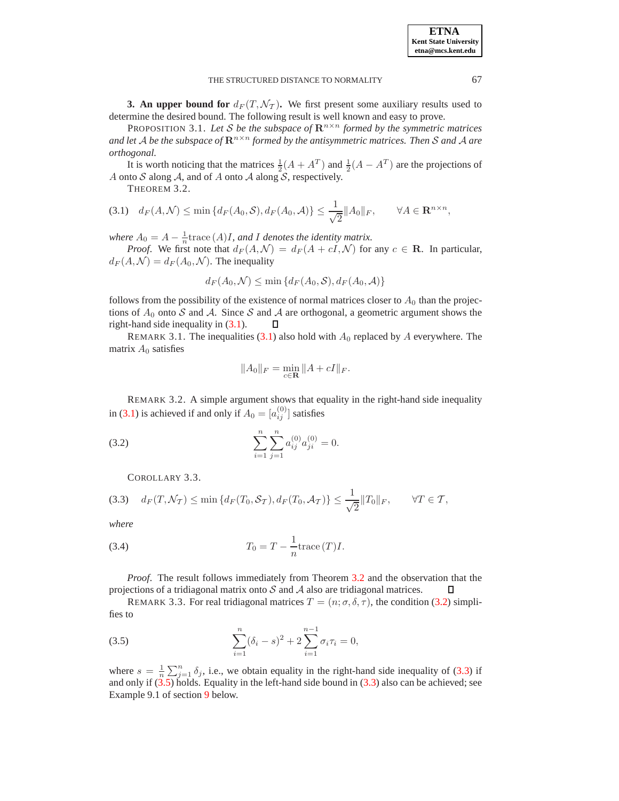<span id="page-2-0"></span>**3. An upper bound for**  $d_F(T, \mathcal{N}_T)$ . We first present some auxiliary results used to determine the desired bound. The following result is well known and easy to prove.

PROPOSITION 3.1. Let S be the subspace of  $\mathbb{R}^{n \times n}$  formed by the symmetric matrices *and let* A *be the subspace of*  $\mathbb{R}^{n \times n}$  *formed by the antisymmetric matrices. Then* S *and* A *are orthogonal.*

<span id="page-2-2"></span>It is worth noticing that the matrices  $\frac{1}{2}(A + A^T)$  and  $\frac{1}{2}(A - A^T)$  are the projections of A onto  $S$  along  $A$ , and of  $A$  onto  $A$  along  $S$ , respectively.

THEOREM 3.2.

<span id="page-2-1"></span>
$$
(3.1) \quad d_F(A,\mathcal{N}) \le \min\left\{d_F(A_0,\mathcal{S}), d_F(A_0,\mathcal{A})\right\} \le \frac{1}{\sqrt{2}}||A_0||_F, \qquad \forall A \in \mathbf{R}^{n \times n},
$$

*where*  $A_0 = A - \frac{1}{n}$  trace  $(A)I$ *, and I denotes the identity matrix.* 

*Proof.* We first note that  $d_F(A, \mathcal{N}) = d_F(A + cI, \mathcal{N})$  for any  $c \in \mathbb{R}$ . In particular,  $d_F(A, \mathcal{N}) = d_F(A_0, \mathcal{N})$ . The inequality

$$
d_F(A_0, \mathcal{N}) \le \min\{d_F(A_0, \mathcal{S}), d_F(A_0, \mathcal{A})\}
$$

follows from the possibility of the existence of normal matrices closer to  $A_0$  than the projections of  $A_0$  onto S and A. Since S and A are orthogonal, a geometric argument shows the right-hand side inequality in (3.1).  $\square$ right-hand side inequality in [\(3.1\)](#page-2-1).

REMARK 3.1. The inequalities [\(3.1\)](#page-2-1) also hold with  $A_0$  replaced by A everywhere. The matrix  $A_0$  satisfies

$$
||A_0||_F = \min_{c \in \mathbf{R}} ||A + cI||_F.
$$

REMARK 3.2. A simple argument shows that equality in the right-hand side inequality in [\(3.1\)](#page-2-1) is achieved if and only if  $A_0 = [a_{ij}^{(0)}]$  satisfies

(3.2) 
$$
\sum_{i=1}^{n} \sum_{j=1}^{n} a_{ij}^{(0)} a_{ji}^{(0)} = 0.
$$

<span id="page-2-3"></span>COROLLARY 3.3.

<span id="page-2-4"></span>
$$
(3.3) \quad d_F(T, \mathcal{N}_T) \le \min\left\{ d_F(T_0, \mathcal{S}_T), d_F(T_0, \mathcal{A}_T) \right\} \le \frac{1}{\sqrt{2}} \|T_0\|_F, \qquad \forall T \in \mathcal{T},
$$

*where*

<span id="page-2-6"></span>
$$
(3.4) \t\t T_0 = T - \frac{1}{n} \operatorname{trace}(T) I.
$$

*Proof*. The result follows immediately from Theorem [3.2](#page-2-2) and the observation that the projections of a tridiagonal matrix onto  $S$  and  $A$  also are tridiagonal matrices. П

REMARK 3.3. For real tridiagonal matrices  $T = (n; \sigma, \delta, \tau)$ , the condition [\(3.2\)](#page-2-3) simplifies to

<span id="page-2-5"></span>(3.5) 
$$
\sum_{i=1}^{n} (\delta_i - s)^2 + 2 \sum_{i=1}^{n-1} \sigma_i \tau_i = 0,
$$

where  $s = \frac{1}{n} \sum_{j=1}^{n} \delta_j$ , i.e., we obtain equality in the right-hand side inequality of [\(3.3\)](#page-2-4) if and only if [\(3.5\)](#page-2-5) holds. Equality in the left-hand side bound in [\(3.3\)](#page-2-4) also can be achieved; see Example 9.1 of section [9](#page-6-1) below.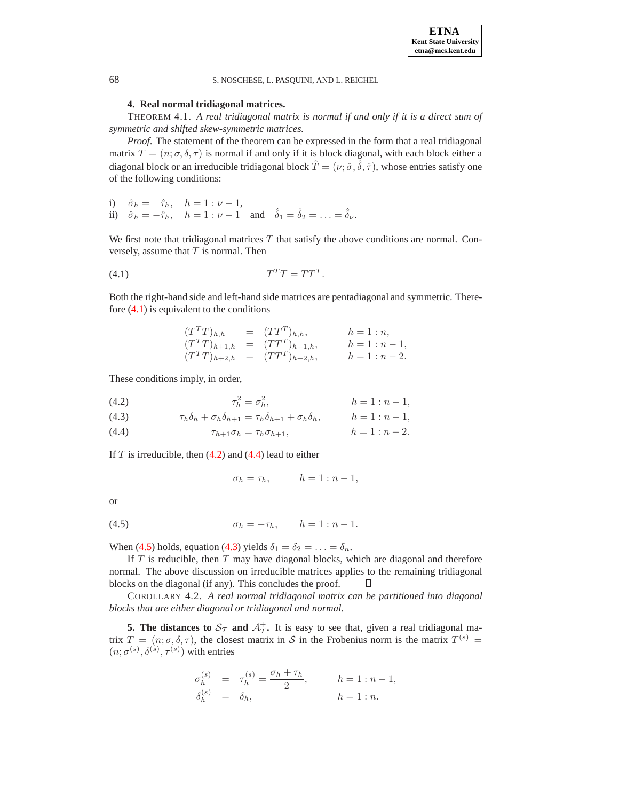**ETNA Kent State University etna@mcs.kent.edu**

<span id="page-3-0"></span>68 S. NOSCHESE, L. PASQUINI, AND L. REICHEL

### <span id="page-3-5"></span>**4. Real normal tridiagonal matrices.**

THEOREM 4.1. *A real tridiagonal matrix is normal if and only if it is a direct sum of symmetric and shifted skew-symmetric matrices.*

*Proof*. The statement of the theorem can be expressed in the form that a real tridiagonal matrix  $T = (n; \sigma, \delta, \tau)$  is normal if and only if it is block diagonal, with each block either a diagonal block or an irreducible tridiagonal block  $\hat{T} = (\nu; \hat{\sigma}, \hat{\delta}, \hat{\tau})$ , whose entries satisfy one of the following conditions:

i)  $\hat{\sigma}_h = \hat{\tau}_h, \quad h = 1 : \nu - 1,$ ii)  $\hat{\sigma}_h = -\hat{\tau}_h$ ,  $h = 1 : \nu - 1$  and  $\hat{\delta}_1 = \hat{\delta}_2 = \ldots = \hat{\delta}_\nu$ .

We first note that tridiagonal matrices  $T$  that satisfy the above conditions are normal. Conversely, assume that  $T$  is normal. Then

$$
(4.1)\t\t T^T T = TT^T.
$$

Both the right-hand side and left-hand side matrices are pentadiagonal and symmetric. Therefore [\(4.1\)](#page-3-2) is equivalent to the conditions

<span id="page-3-2"></span>
$$
(T^{T}T)_{h,h} = (TT^{T})_{h,h}, \t h = 1:n,(T^{T}T)_{h+1,h} = (TT^{T})_{h+1,h}, \t h = 1:n-1,(T^{T}T)_{h+2,h} = (TT^{T})_{h+2,h}, \t h = 1:n-2.
$$

These conditions imply, in order,

<span id="page-3-3"></span>(4.2) 
$$
\tau_h^2 = \sigma_h^2, \qquad h = 1 : n - 1,
$$

(4.3) 
$$
\tau_h \delta_h + \sigma_h \delta_{h+1} = \tau_h \delta_{h+1} + \sigma_h \delta_h, \qquad h = 1 : n-1,
$$

(4.4) 
$$
\tau_{h+1}\sigma_h = \tau_h \sigma_{h+1}, \qquad h = 1 : n-2.
$$

If  $T$  is irreducible, then  $(4.2)$  and  $(4.4)$  lead to either

$$
\sigma_h = \tau_h, \qquad h = 1 : n - 1,
$$

or

<span id="page-3-4"></span>(4.5) 
$$
\sigma_h = -\tau_h, \qquad h = 1 : n - 1.
$$

When [\(4.5\)](#page-3-4) holds, equation [\(4.3\)](#page-3-3) yields  $\delta_1 = \delta_2 = \ldots = \delta_n$ .

If  $T$  is reducible, then  $T$  may have diagonal blocks, which are diagonal and therefore normal. The above discussion on irreducible matrices applies to the remaining tridiagonal blocks on the diagonal (if any). This concludes the proof.  $\Box$ 

COROLLARY 4.2. *A real normal tridiagonal matrix can be partitioned into diagonal blocks that are either diagonal or tridiagonal and normal.*

<span id="page-3-1"></span>**5. The distances to**  $S_T$  **and**  $A_T^+$ **.** It is easy to see that, given a real tridiagonal matrix  $T = (n; \sigma, \delta, \tau)$ , the closest matrix in S in the Frobenius norm is the matrix  $T^{(s)} =$  $(n; \sigma^{(s)}, \delta^{(s)}, \tau^{(s)})$  with entries

$$
\begin{array}{rcl} \sigma_h^{(s)} & = & \tau_h^{(s)} = \displaystyle \frac{\sigma_h + \tau_h}{2}, \qquad \quad h = 1:n-1, \\ \delta_h^{(s)} & = & \delta_h, \qquad \qquad h = 1:n. \end{array}
$$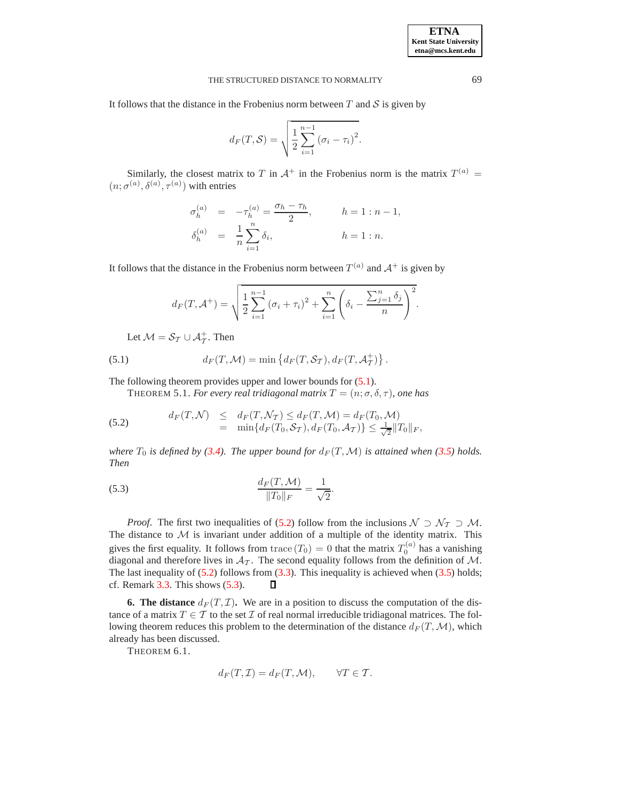It follows that the distance in the Frobenius norm between  $T$  and  $S$  is given by

$$
d_F(T,\mathcal{S}) = \sqrt{\frac{1}{2}\sum_{i=1}^{n-1} (\sigma_i - \tau_i)^2}.
$$

Similarly, the closest matrix to T in  $A^+$  in the Frobenius norm is the matrix  $T^{(a)} = (a)(a)(b)(c)$  $(n; \sigma^{(a)}, \delta^{(a)}, \tau^{(a)})$  with entries

$$
\begin{array}{rcl} \sigma_h^{(a)} & = & -\tau_h^{(a)} = \dfrac{\sigma_h - \tau_h}{2}, \qquad & h = 1: n-1, \\ \delta_h^{(a)} & = & \dfrac{1}{n} \sum_{i=1}^n \delta_i, \qquad & h = 1: n. \end{array}
$$

It follows that the distance in the Frobenius norm between  $T^{(a)}$  and  $A^{+}$  is given by

$$
d_F(T, \mathcal{A}^+) = \sqrt{\frac{1}{2} \sum_{i=1}^{n-1} (\sigma_i + \tau_i)^2 + \sum_{i=1}^{n} \left( \delta_i - \frac{\sum_{j=1}^{n} \delta_j}{n} \right)^2}.
$$

<span id="page-4-1"></span>Let  $M = S_T \cup A_T^+$ . Then

(5.1) 
$$
d_F(T, \mathcal{M}) = \min \left\{ d_F(T, \mathcal{S}_T), d_F(T, \mathcal{A}_T^+) \right\}.
$$

The following theorem provides upper and lower bounds for  $(5.1)$ .

THEOREM 5.1. *For every real tridiagonal matrix*  $T = (n; \sigma, \delta, \tau)$ *, one has* 

<span id="page-4-2"></span>(5.2) 
$$
d_F(T, \mathcal{N}) \leq d_F(T, \mathcal{N}_T) \leq d_F(T, \mathcal{M}) = d_F(T_0, \mathcal{M}) = \min\{d_F(T_0, \mathcal{S}_T), d_F(T_0, \mathcal{A}_T)\} \leq \frac{1}{\sqrt{2}} \|T_0\|_F,
$$

*where*  $T_0$  *is defined by [\(3.4\)](#page-2-6). The upper bound for*  $d_F(T, \mathcal{M})$  *is attained when* [\(3.5\)](#page-2-5) *holds. Then*

<span id="page-4-3"></span>(5.3) 
$$
\frac{d_F(T, \mathcal{M})}{\|T_0\|_F} = \frac{1}{\sqrt{2}}.
$$

*Proof.* The first two inequalities of [\(5.2\)](#page-4-2) follow from the inclusions  $\mathcal{N} \supset \mathcal{N}_{\mathcal{T}} \supset \mathcal{M}$ . The distance to  $M$  is invariant under addition of a multiple of the identity matrix. This gives the first equality. It follows from trace  $(T_0) = 0$  that the matrix  $T_0^{(a)}$  has a vanishing diagonal and therefore lives in  $A_{\tau}$ . The second equality follows from the definition of M. The last inequality of  $(5.2)$  follows from  $(3.3)$ . This inequality is achieved when  $(3.5)$  holds; cf. Remark  $3.3$ . This shows  $(5.3)$ .  $\Box$ 

<span id="page-4-4"></span><span id="page-4-0"></span>**6. The distance**  $d_F(T, \mathcal{I})$ . We are in a position to discuss the computation of the distance of a matrix  $T \in \mathcal{T}$  to the set  $\mathcal{I}$  of real normal irreducible tridiagonal matrices. The following theorem reduces this problem to the determination of the distance  $d_F(T, \mathcal{M})$ , which already has been discussed.

THEOREM 6.1.

$$
d_F(T, \mathcal{I}) = d_F(T, \mathcal{M}), \qquad \forall T \in \mathcal{T}.
$$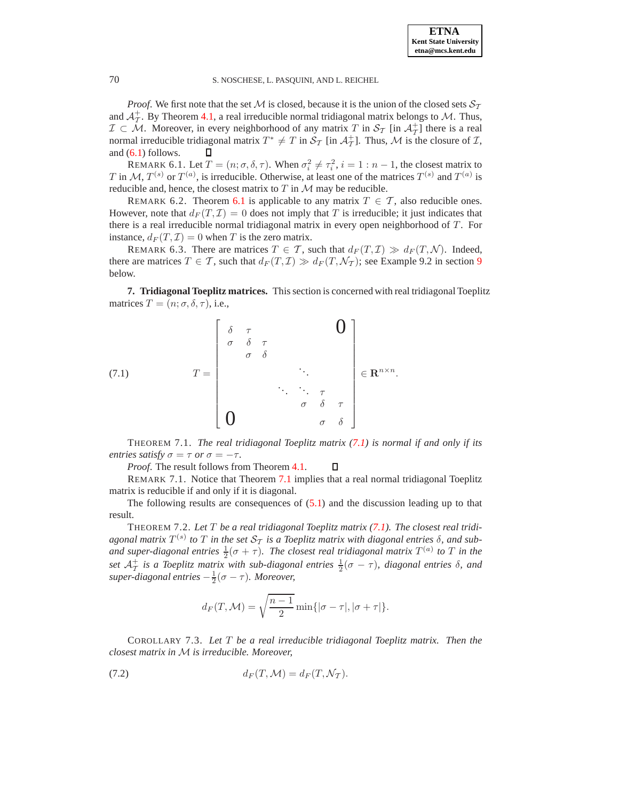70 S. NOSCHESE, L. PASQUINI, AND L. REICHEL

*Proof.* We first note that the set M is closed, because it is the union of the closed sets  $S_T$ and  $A_T^+$ . By Theorem [4.1,](#page-3-5) a real irreducible normal tridiagonal matrix belongs to M. Thus,  $\mathcal{I} \subset \mathcal{M}$ . Moreover, in every neighborhood of any matrix T in  $\mathcal{S}_{\mathcal{T}}$  [in  $\mathcal{A}_{\mathcal{T}}^+$ ] there is a real normal irreducible tridiagonal matrix  $T^* \neq T$  in  $\mathcal{S}_T$  [in  $\mathcal{A}_T^+$ ]. Thus, M is t  $_{\mathcal{I}}^{+}$ ]. Thus, M is the closure of  $\mathcal{I}$ , and [\(6.1\)](#page-4-4) follows.  $\Box$ 

REMARK 6.1. Let  $T = (n; \sigma, \delta, \tau)$ . When  $\sigma_i^2 \neq \tau_i^2$ ,  $i = 1 : n - 1$ , the closest matrix to T in M,  $T^{(s)}$  or  $T^{(a)}$ , is irreducible. Otherwise, at least one of the matrices  $T^{(s)}$  and  $T^{(a)}$  is reducible and, hence, the closest matrix to  $T$  in  $M$  may be reducible.

REMARK 6.2. Theorem [6.1](#page-4-4) is applicable to any matrix  $T \in \mathcal{T}$ , also reducible ones. However, note that  $d_F(T, \mathcal{I}) = 0$  does not imply that T is irreducible; it just indicates that there is a real irreducible normal tridiagonal matrix in every open neighborhood of  $T$ . For instance,  $d_F(T, \mathcal{I}) = 0$  when T is the zero matrix.

<span id="page-5-1"></span>REMARK 6.3. There are matrices  $T \in \mathcal{T}$ , such that  $d_F(T, \mathcal{I}) \gg d_F(T, \mathcal{N})$ . Indeed, there are matrices  $T \in \mathcal{T}$ , such that  $d_F(T, \mathcal{I}) \gg d_F(T, \mathcal{N}_T)$ ; see Example [9](#page-6-1).2 in section 9 below.

<span id="page-5-0"></span>**7. Tridiagonal Toeplitz matrices.** This section is concerned with real tridiagonal Toeplitz matrices  $T = (n; \sigma, \delta, \tau)$ , i.e.,

<span id="page-5-2"></span>
$$
(7.1) \t T = \begin{bmatrix} \delta & \tau & & & \mathbf{0} \\ \sigma & \delta & \tau & & & \\ & \sigma & \delta & & & \\ & & & \ddots & & \\ & & & & \ddots & \tau \\ & & & & & \sigma & \delta & \tau \\ \mathbf{0} & & & & & \sigma & \delta \end{bmatrix} \in \mathbf{R}^{n \times n}.
$$

<span id="page-5-3"></span>THEOREM 7.1. *The real tridiagonal Toeplitz matrix [\(7.1\)](#page-5-2) is normal if and only if its entries satisfy*  $\sigma = \tau$  *or*  $\sigma = -\tau$ *.* 

*Proof*. The result follows from Theorem [4.1.](#page-3-5) п

REMARK 7.1. Notice that Theorem [7.1](#page-5-3) implies that a real normal tridiagonal Toeplitz matrix is reducible if and only if it is diagonal.

<span id="page-5-4"></span>The following results are consequences of  $(5.1)$  and the discussion leading up to that result.

THEOREM 7.2. *Let* T *be a real tridiagonal Toeplitz matrix [\(7.1\)](#page-5-2). The closest real tridi*agonal matrix  $T^{(s)}$  to  $T$  in the set  $\mathcal{S}_{\mathcal{T}}$  is a Toeplitz matrix with diagonal entries  $\delta$ , and suband super-diagonal entries  $\frac{1}{2}(\sigma + \tau)$ . The closest real tridiagonal matrix  $T^{(a)}$  to  $T$  in the set  $\mathcal{A}^+_{\mathcal{I}}$  $^+_T$  *is a Toeplitz matrix with sub-diagonal entries*  $\frac{1}{2}(\sigma - \tau)$ *, diagonal entries* δ*, and*  $super-diagonal entries -\frac{1}{2}(\sigma - \tau)$ *. Moreover,* 

$$
d_F(T, \mathcal{M}) = \sqrt{\frac{n-1}{2}} \min\{|\sigma - \tau|, |\sigma + \tau|\}.
$$

COROLLARY 7.3. *Let* T *be a real irreducible tridiagonal Toeplitz matrix. Then the closest matrix in* M *is irreducible. Moreover,*

<span id="page-5-5"></span>(7.2) 
$$
d_F(T, \mathcal{M}) = d_F(T, \mathcal{N}_T).
$$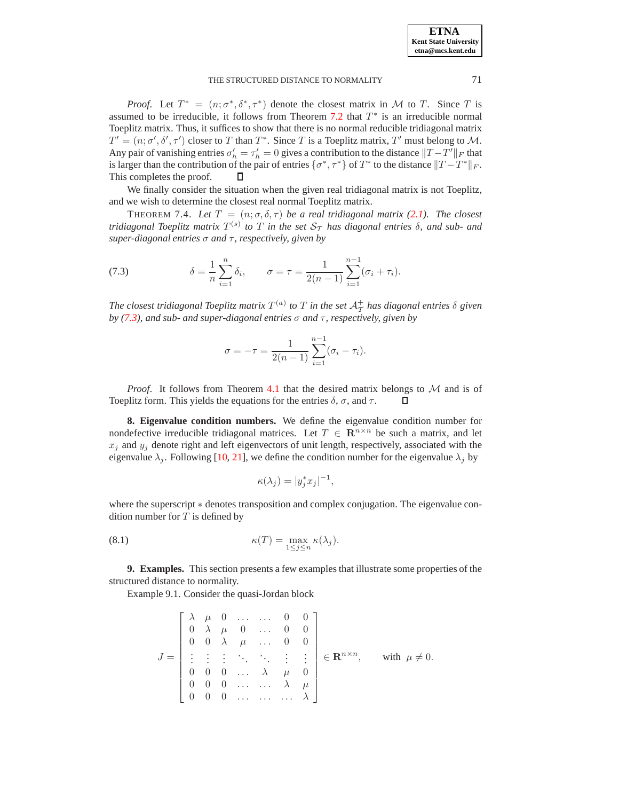*Proof.* Let  $T^* = (n; \sigma^*, \delta^*, \tau^*)$  denote the closest matrix in M to T. Since T is assumed to be irreducible, it follows from Theorem [7.2](#page-5-4) that  $T^*$  is an irreducible normal Toeplitz matrix. Thus, it suffices to show that there is no normal reducible tridiagonal matrix  $T' = (n; \sigma', \delta', \tau')$  closer to T than  $T^*$ . Since T is a Toeplitz matrix, T' must belong to M. Any pair of vanishing entries  $\sigma'_h = \tau'_h = 0$  gives a contribution to the distance  $||T - T'||_F$  that is larger than the contribution of the pair of entries  $\{\sigma^*, \tau^*\}$  of  $T^*$  to the distance  $||T - T^*||_F$ . This completes the proof.

We finally consider the situation when the given real tridiagonal matrix is not Toeplitz, and we wish to determine the closest real normal Toeplitz matrix.

THEOREM 7.4. Let  $T = (n; \sigma, \delta, \tau)$  be a real tridiagonal matrix [\(2.1\)](#page-1-2). The closest *tridiagonal Toeplitz matrix*  $T^{(s)}$  *to*  $T$  *in the set*  $\mathcal{S}_{\mathcal{T}}$  *has diagonal entries*  $\delta$ *, and sub- and super-diagonal entries* σ *and* τ*, respectively, given by*

<span id="page-6-2"></span>(7.3) 
$$
\delta = \frac{1}{n} \sum_{i=1}^{n} \delta_i, \qquad \sigma = \tau = \frac{1}{2(n-1)} \sum_{i=1}^{n-1} (\sigma_i + \tau_i).
$$

The closest tridiagonal Toeplitz matrix  $T^{(a)}$  to  $T$  in the set  $\mathcal{A}_{T}^{+}$  has diagonal entries  $\delta$  given T *by [\(7.3\)](#page-6-2), and sub- and super-diagonal entries* σ *and* τ*, respectively, given by*

$$
\sigma = -\tau = \frac{1}{2(n-1)} \sum_{i=1}^{n-1} (\sigma_i - \tau_i).
$$

*Proof.* It follows from Theorem [4.1](#page-3-5) that the desired matrix belongs to M and is of plitz form. This yields the equations for the entries  $\delta$ ,  $\sigma$ , and  $\tau$ . Toeplitz form. This yields the equations for the entries  $\delta$ ,  $\sigma$ , and  $\tau$ .

<span id="page-6-0"></span>**8. Eigenvalue condition numbers.** We define the eigenvalue condition number for nondefective irreducible tridiagonal matrices. Let  $T \in \mathbb{R}^{n \times n}$  be such a matrix, and let  $x_j$  and  $y_j$  denote right and left eigenvectors of unit length, respectively, associated with the eigenvalue  $\lambda_j$ . Following [\[10,](#page-12-17) [21\]](#page-12-19), we define the condition number for the eigenvalue  $\lambda_j$  by

$$
\kappa(\lambda_j) = |y_j^* x_j|^{-1},
$$

where the superscript  $*$  denotes transposition and complex conjugation. The eigenvalue condition number for  $T$  is defined by

<span id="page-6-3"></span>(8.1) 
$$
\kappa(T) = \max_{1 \le j \le n} \kappa(\lambda_j).
$$

<span id="page-6-1"></span>**9. Examples.** This section presents a few examples that illustrate some properties of the structured distance to normality.

Example 9.1. Consider the quasi-Jordan block

$$
J = \begin{bmatrix} \lambda & \mu & 0 & \dots & \dots & 0 & 0 \\ 0 & \lambda & \mu & 0 & \dots & 0 & 0 \\ 0 & 0 & \lambda & \mu & \dots & 0 & 0 \\ \vdots & \vdots & \vdots & \ddots & \ddots & \vdots & \vdots \\ 0 & 0 & 0 & \dots & \lambda & \mu & 0 \\ 0 & 0 & 0 & \dots & \dots & \lambda & \mu \\ 0 & 0 & 0 & \dots & \dots & \lambda \end{bmatrix} \in \mathbf{R}^{n \times n}, \quad \text{with } \mu \neq 0.
$$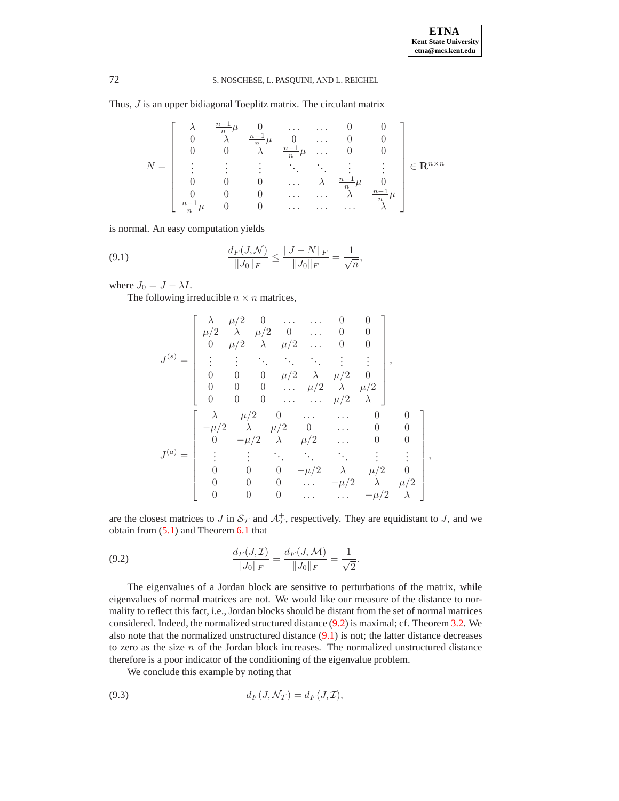## 72 S. NOSCHESE, L. PASQUINI, AND L. REICHEL

Thus, J is an upper bidiagonal Toeplitz matrix. The circulant matrix

$$
N = \left[\begin{array}{ccccc} \lambda & \frac{n-1}{n}\mu & 0 & \dots & \dots & 0 & 0\\ 0 & \lambda & \frac{n-1}{n}\mu & 0 & \dots & 0 & 0\\ 0 & 0 & \lambda & \frac{n-1}{n}\mu & \dots & 0 & 0\\ \vdots & \vdots & \vdots & \ddots & \ddots & \vdots & \vdots\\ 0 & 0 & 0 & \dots & \lambda & \frac{n-1}{n}\mu & 0\\ 0 & 0 & 0 & \dots & \dots & \lambda & \frac{n-1}{n}\mu\\ \frac{n-1}{n}\mu & 0 & 0 & \dots & \dots & \lambda \end{array}\right] \in \mathbf{R}^{n \times n}
$$

is normal. An easy computation yields

<span id="page-7-1"></span>(9.1) 
$$
\frac{d_F(J,\mathcal{N})}{\|J_0\|_F} \le \frac{\|J-N\|_F}{\|J_0\|_F} = \frac{1}{\sqrt{n}},
$$

where  $J_0 = J - \lambda I$ .

The following irreducible  $n \times n$  matrices,

$$
J^{(s)} = \begin{bmatrix} \lambda & \mu/2 & 0 & \dots & 0 & 0 \\ \mu/2 & \lambda & \mu/2 & 0 & \dots & 0 & 0 \\ 0 & \mu/2 & \lambda & \mu/2 & \dots & 0 & 0 \\ \vdots & \vdots & \ddots & \ddots & \ddots & \vdots & \vdots \\ 0 & 0 & 0 & \mu/2 & \lambda & \mu/2 & 0 \\ 0 & 0 & 0 & \dots & \mu/2 & \lambda & \mu/2 \\ 0 & 0 & 0 & \dots & \dots & \mu/2 & \lambda \end{bmatrix},
$$

$$
J^{(a)} = \begin{bmatrix} \lambda & \mu/2 & 0 & \dots & \dots & 0 & 0 \\ -\mu/2 & \lambda & \mu/2 & 0 & \dots & 0 & 0 \\ 0 & -\mu/2 & \lambda & \mu/2 & \dots & 0 & 0 \\ \vdots & \vdots & \ddots & \ddots & \ddots & \vdots & \vdots \\ 0 & 0 & 0 & -\mu/2 & \lambda & \mu/2 & 0 \\ 0 & 0 & 0 & \dots & -\mu/2 & \lambda & \mu/2 \\ 0 & 0 & 0 & \dots & \dots & -\mu/2 & \lambda \end{bmatrix},
$$

are the closest matrices to J in  $S_T$  and  $\mathcal{A}^+_T$  $_{\mathcal{T}}^{+}$ , respectively. They are equidistant to *J*, and we obtain from [\(5.1\)](#page-4-1) and Theorem [6.1](#page-4-4) that

<span id="page-7-0"></span>(9.2) 
$$
\frac{d_F(J,\mathcal{I})}{\|J_0\|_F} = \frac{d_F(J,\mathcal{M})}{\|J_0\|_F} = \frac{1}{\sqrt{2}}.
$$

The eigenvalues of a Jordan block are sensitive to perturbations of the matrix, while eigenvalues of normal matrices are not. We would like our measure of the distance to normality to reflect this fact, i.e., Jordan blocks should be distant from the set of normal matrices considered. Indeed, the normalized structured distance [\(9.2\)](#page-7-0) is maximal; cf. Theorem [3.2.](#page-2-2) We also note that the normalized unstructured distance [\(9.1\)](#page-7-1) is not; the latter distance decreases to zero as the size  $n$  of the Jordan block increases. The normalized unstructured distance therefore is a poor indicator of the conditioning of the eigenvalue problem.

<span id="page-7-2"></span>We conclude this example by noting that

(9.3) 
$$
d_F(J, \mathcal{N}_T) = d_F(J, \mathcal{I}),
$$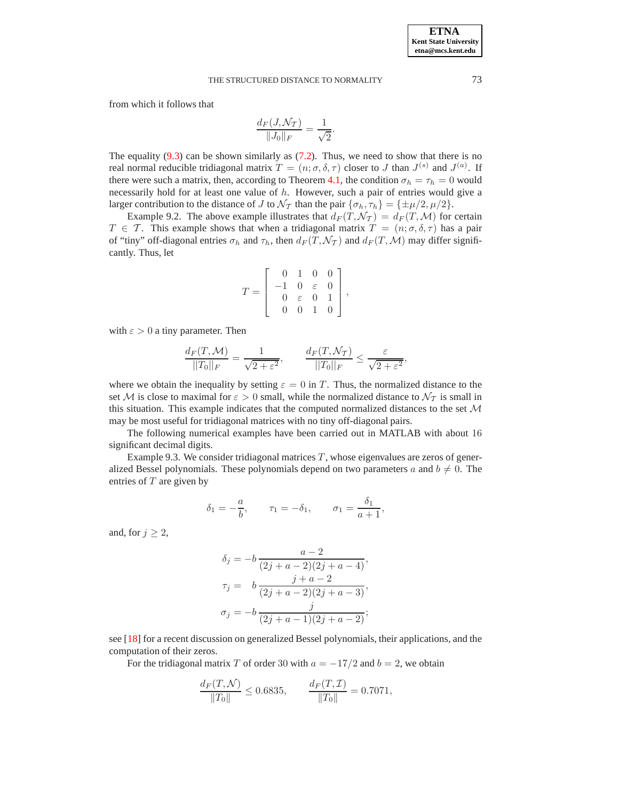from which it follows that

$$
\frac{d_F(J,\mathcal{N}_T)}{\|J_0\|_F} = \frac{1}{\sqrt{2}}.
$$

The equality  $(9.3)$  can be shown similarly as  $(7.2)$ . Thus, we need to show that there is no real normal reducible tridiagonal matrix  $T = (n; \sigma, \delta, \tau)$  closer to J than  $J^{(s)}$  and  $J^{(a)}$ . If there were such a matrix, then, according to Theorem [4.1,](#page-3-5) the condition  $\sigma_h = \tau_h = 0$  would necessarily hold for at least one value of h. However, such a pair of entries would give a larger contribution to the distance of J to  $\mathcal{N}_{\mathcal{T}}$  than the pair  $\{\sigma_h, \tau_h\} = {\pm \mu/2, \mu/2}.$ 

Example 9.2. The above example illustrates that  $d_F(T, \mathcal{N}_T) = d_F(T, \mathcal{M})$  for certain  $T \in \mathcal{T}$ . This example shows that when a tridiagonal matrix  $T = (n; \sigma, \delta, \tau)$  has a pair of "tiny" off-diagonal entries  $\sigma_h$  and  $\tau_h$ , then  $d_F(T, \mathcal{N}_T)$  and  $d_F(T, \mathcal{M})$  may differ significantly. Thus, let

$$
T = \left[ \begin{array}{rrr} 0 & 1 & 0 & 0 \\ -1 & 0 & \varepsilon & 0 \\ 0 & \varepsilon & 0 & 1 \\ 0 & 0 & 1 & 0 \end{array} \right],
$$

with  $\varepsilon > 0$  a tiny parameter. Then

$$
\frac{d_F(T, \mathcal{M})}{||T_0||_F} = \frac{1}{\sqrt{2+\varepsilon^2}}, \qquad \frac{d_F(T, \mathcal{N}_T)}{||T_0||_F} \le \frac{\varepsilon}{\sqrt{2+\varepsilon^2}},
$$

where we obtain the inequality by setting  $\varepsilon = 0$  in T. Thus, the normalized distance to the set M is close to maximal for  $\varepsilon > 0$  small, while the normalized distance to  $\mathcal{N}_{\mathcal{T}}$  is small in this situation. This example indicates that the computed normalized distances to the set  $\mathcal M$ may be most useful for tridiagonal matrices with no tiny off-diagonal pairs.

The following numerical examples have been carried out in MATLAB with about 16 significant decimal digits.

Example 9.3. We consider tridiagonal matrices  $T$ , whose eigenvalues are zeros of generalized Bessel polynomials. These polynomials depend on two parameters a and  $b \neq 0$ . The entries of  $T$  are given by

$$
\delta_1 = -\frac{a}{b}, \qquad \tau_1 = -\delta_1, \qquad \sigma_1 = \frac{\delta_1}{a+1},
$$

and, for  $j \geq 2$ ,

$$
\delta_j = -b \frac{a-2}{(2j+a-2)(2j+a-4)},
$$
  
\n
$$
\tau_j = b \frac{j+a-2}{(2j+a-2)(2j+a-3)},
$$
  
\n
$$
\sigma_j = -b \frac{j}{(2j+a-1)(2j+a-2)};
$$

see [\[18\]](#page-12-20) for a recent discussion on generalized Bessel polynomials, their applications, and the computation of their zeros.

For the tridiagonal matrix T of order 30 with  $a = -17/2$  and  $b = 2$ , we obtain

$$
\frac{d_F(T,\mathcal{N})}{\|T_0\|} \le 0.6835, \qquad \frac{d_F(T,\mathcal{I})}{\|T_0\|} = 0.7071,
$$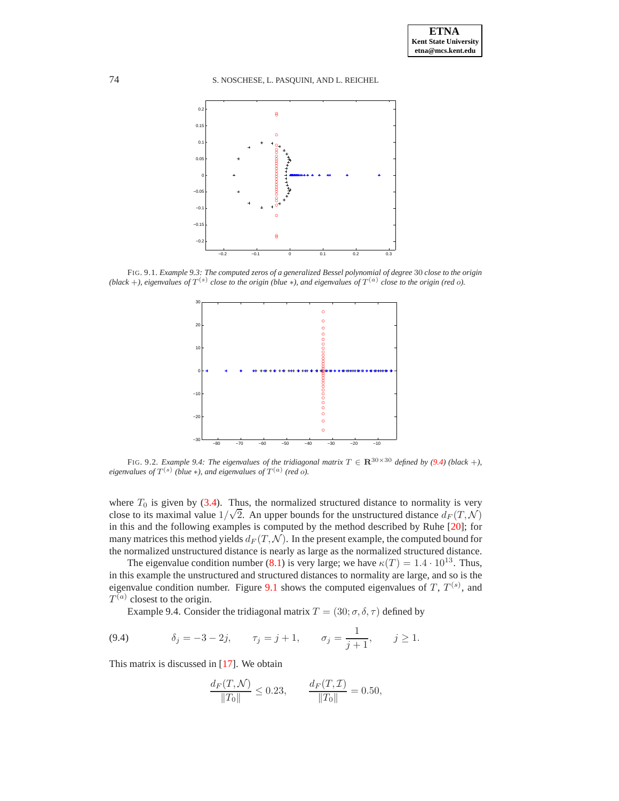74 S. NOSCHESE, L. PASQUINI, AND L. REICHEL



<span id="page-9-1"></span>FIG. 9.1. *Example 9.3: The computed zeros of a generalized Bessel polynomial of degree* 30 *close to the origin*  $(b \leq b \leq b)$  *close to the origin*  $(b \leq b \leq b)$ , and eigenvalues of  $T^{(a)}$  close to the origin (red o).



<span id="page-9-2"></span>FIG. 9.2. *Example 9.4: The eigenvalues of the tridiagonal matrix*  $T \in \mathbb{R}^{30 \times 30}$  *defined by [\(9.4\)](#page-9-0) (black +)*, *eigenvalues of*  $T^{(s)}$  (*blue*  $*$ *), and eigenvalues of*  $T^{(a)}$  (*red*  $o$ *).* 

where  $T_0$  is given by [\(3.4\)](#page-2-6). Thus, the normalized structured distance to normality is very close to its maximal value  $1/\sqrt{2}$ . An upper bounds for the unstructured distance  $d_F(T, \mathcal{N})$ in this and the following examples is computed by the method described by Ruhe [\[20\]](#page-12-5); for many matrices this method yields  $d_F(T, \mathcal{N})$ . In the present example, the computed bound for the normalized unstructured distance is nearly as large as the normalized structured distance.

The eigenvalue condition number [\(8.1\)](#page-6-3) is very large; we have  $\kappa(T) = 1.4 \cdot 10^{13}$ . Thus, in this example the unstructured and structured distances to normality are large, and so is the eigenvalue condition number. Figure [9.1](#page-9-1) shows the computed eigenvalues of T,  $T^{(s)}$ , and  $T^{(a)}$  closest to the origin.

Example 9.4. Consider the tridiagonal matrix  $T = (30; \sigma, \delta, \tau)$  defined by

<span id="page-9-0"></span>(9.4) 
$$
\delta_j = -3 - 2j, \quad \tau_j = j + 1, \quad \sigma_j = \frac{1}{j + 1}, \quad j \ge 1.
$$

This matrix is discussed in [\[17\]](#page-12-21). We obtain

$$
\frac{d_F(T,\mathcal{N})}{\|T_0\|} \le 0.23, \qquad \frac{d_F(T,\mathcal{I})}{\|T_0\|} = 0.50,
$$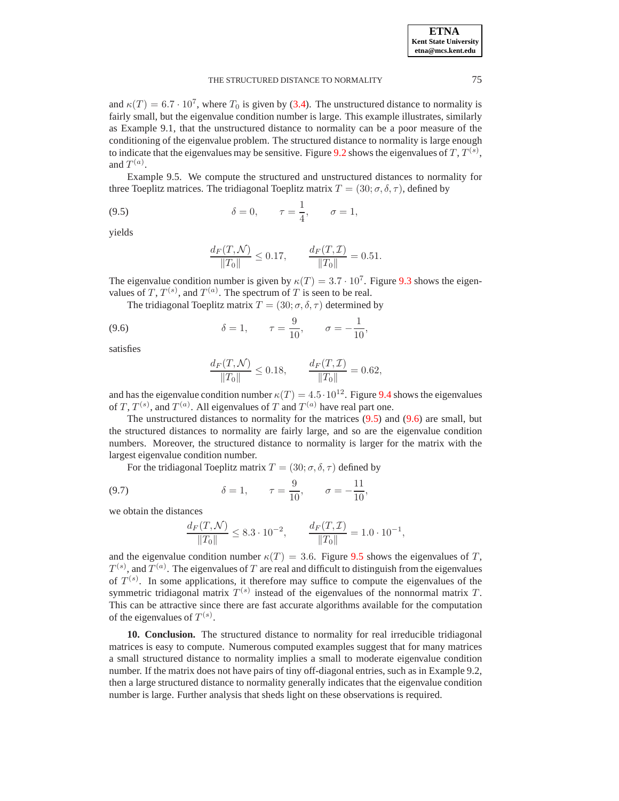| <b>ETNA</b>                  |
|------------------------------|
| <b>Kent State University</b> |
| etna@mcs.kent.edu            |

and  $\kappa(T) = 6.7 \cdot 10^7$ , where  $T_0$  is given by [\(3.4\)](#page-2-6). The unstructured distance to normality is fairly small, but the eigenvalue condition number is large. This example illustrates, similarly as Example 9.1, that the unstructured distance to normality can be a poor measure of the conditioning of the eigenvalue problem. The structured distance to normality is large enough to indicate that the eigenvalues may be sensitive. Figure [9.2](#page-9-2) shows the eigenvalues of T,  $T^{(s)}$ , and  $T^{(a)}$ .

Example 9.5. We compute the structured and unstructured distances to normality for three Toeplitz matrices. The tridiagonal Toeplitz matrix  $T = (30; \sigma, \delta, \tau)$ , defined by

<span id="page-10-1"></span>(9.5) 
$$
\delta = 0, \quad \tau = \frac{1}{4}, \quad \sigma = 1,
$$

yields

$$
\frac{d_F(T,{\mathcal N})}{\|T_0\|}\leq 0.17, \qquad \frac{d_F(T,{\mathcal I})}{\|T_0\|}=0.51.
$$

The eigenvalue condition number is given by  $\kappa(T) = 3.7 \cdot 10^7$ . Figure [9.3](#page-11-0) shows the eigenvalues of T,  $T^{(s)}$ , and  $T^{(a)}$ . The spectrum of T is seen to be real.

<span id="page-10-2"></span>The tridiagonal Toeplitz matrix  $T = (30; \sigma, \delta, \tau)$  determined by

(9.6) 
$$
\delta = 1, \quad \tau = \frac{9}{10}, \quad \sigma = -\frac{1}{10},
$$

satisfies

$$
\frac{d_F(T,\mathcal{N})}{\|T_0\|} \le 0.18, \qquad \frac{d_F(T,\mathcal{I})}{\|T_0\|} = 0.62,
$$

and has the eigenvalue condition number  $\kappa(T) = 4.5 \cdot 10^{12}$ . Figure [9.4](#page-11-1) shows the eigenvalues of T,  $T^{(s)}$ , and  $T^{(a)}$ . All eigenvalues of T and  $T^{(a)}$  have real part one.

The unstructured distances to normality for the matrices [\(9.5\)](#page-10-1) and [\(9.6\)](#page-10-2) are small, but the structured distances to normality are fairly large, and so are the eigenvalue condition numbers. Moreover, the structured distance to normality is larger for the matrix with the largest eigenvalue condition number.

<span id="page-10-3"></span>For the tridiagonal Toeplitz matrix  $T = (30; \sigma, \delta, \tau)$  defined by

(9.7) 
$$
\delta = 1, \quad \tau = \frac{9}{10}, \quad \sigma = -\frac{11}{10}
$$

we obtain the distances

$$
\frac{d_F(T,\mathcal{N})}{\|T_0\|} \le 8.3 \cdot 10^{-2}, \qquad \frac{d_F(T,\mathcal{I})}{\|T_0\|} = 1.0 \cdot 10^{-1},
$$

and the eigenvalue condition number  $\kappa(T) = 3.6$ . Figure [9.5](#page-11-2) shows the eigenvalues of T,  $T^{(s)}$ , and  $T^{(a)}$ . The eigenvalues of  $T$  are real and difficult to distinguish from the eigenvalues of  $T^{(s)}$ . In some applications, it therefore may suffice to compute the eigenvalues of the symmetric tridiagonal matrix  $T^{(s)}$  instead of the eigenvalues of the nonnormal matrix T. This can be attractive since there are fast accurate algorithms available for the computation of the eigenvalues of  $T^{(s)}$ .

<span id="page-10-0"></span>**10. Conclusion.** The structured distance to normality for real irreducible tridiagonal matrices is easy to compute. Numerous computed examples suggest that for many matrices a small structured distance to normality implies a small to moderate eigenvalue condition number. If the matrix does not have pairs of tiny off-diagonal entries, such as in Example 9.2, then a large structured distance to normality generally indicates that the eigenvalue condition number is large. Further analysis that sheds light on these observations is required.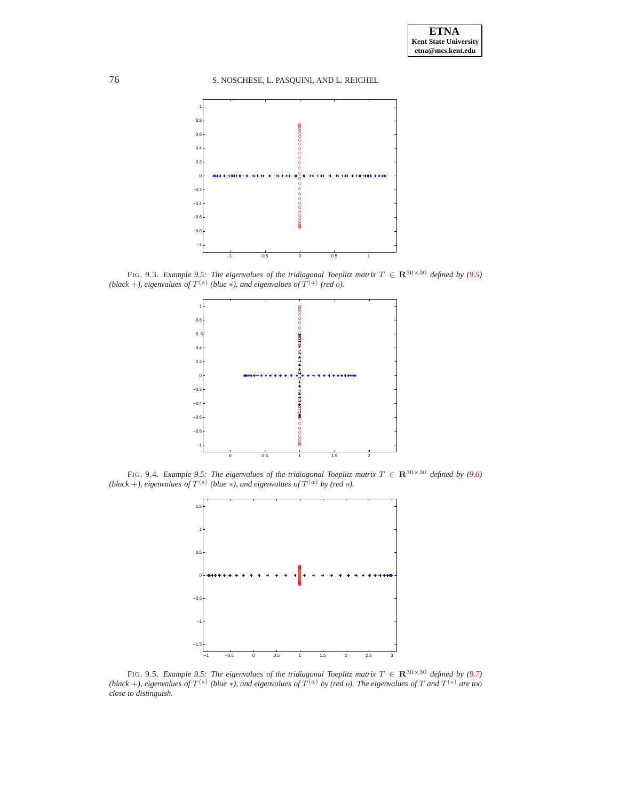76 S. NOSCHESE, L. PASQUINI, AND L. REICHEL



<span id="page-11-0"></span>FIG. 9.3. *Example 9.5: The eigenvalues of the tridiagonal Toeplitz matrix*  $T \in \mathbb{R}^{30 \times 30}$  *defined by* [\(9.5\)](#page-10-1)  $(b \le k + b)$ , eigenvalues of  $T^{(s)}$  (blue \*), and eigenvalues of  $T^{(a)}$  (red o).



<span id="page-11-1"></span>FIG. 9.4. *Example 9.5: The eigenvalues of the tridiagonal Toeplitz matrix*  $T \in \mathbb{R}^{30 \times 30}$  *defined by* [\(9.6\)](#page-10-2)  $(b \le k + b)$ , eigenvalues of  $T^{(s)}$  (blue \*), and eigenvalues of  $T^{(a)}$  by (red o).



<span id="page-11-2"></span>FIG. 9.5. *Example 9.5: The eigenvalues of the tridiagonal Toeplitz matrix*  $T \in \mathbb{R}^{30 \times 30}$  *defined by* [\(9.7\)](#page-10-3) (black +), eigenvalues of  $T^{(s)}$  (blue  $*$ ), and eigenvalues of  $T^{(a)}$  by (red o). The eigenvalues of  $T$  and  $T^{(s)}$  are too *close to distinguish.*